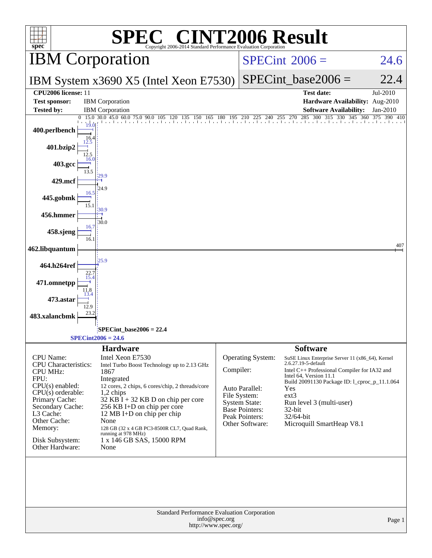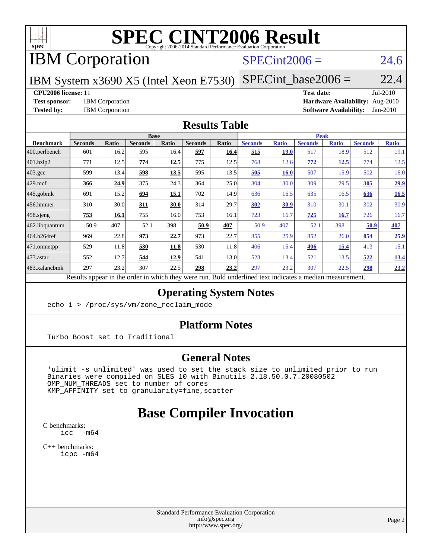

# **[SPEC CINT2006 Result](http://www.spec.org/auto/cpu2006/Docs/result-fields.html#SPECCINT2006Result)**

# IBM Corporation

## $SPECint2006 = 24.6$  $SPECint2006 = 24.6$

IBM System x3690 X5 (Intel Xeon E7530)

 $SPECTnt\_base2006 = 22.4$ 

#### **[CPU2006 license:](http://www.spec.org/auto/cpu2006/Docs/result-fields.html#CPU2006license)** 11 **[Test date:](http://www.spec.org/auto/cpu2006/Docs/result-fields.html#Testdate)** Jul-2010

**[Test sponsor:](http://www.spec.org/auto/cpu2006/Docs/result-fields.html#Testsponsor)** IBM Corporation **[Hardware Availability:](http://www.spec.org/auto/cpu2006/Docs/result-fields.html#HardwareAvailability)** Aug-2010 **[Tested by:](http://www.spec.org/auto/cpu2006/Docs/result-fields.html#Testedby)** IBM Corporation **[Software Availability:](http://www.spec.org/auto/cpu2006/Docs/result-fields.html#SoftwareAvailability)** Jan-2010

#### **[Results Table](http://www.spec.org/auto/cpu2006/Docs/result-fields.html#ResultsTable)**

|                   | <b>Base</b>                                                     |              |                |       |                |       | <b>Peak</b>                                   |              |                |              |                |              |
|-------------------|-----------------------------------------------------------------|--------------|----------------|-------|----------------|-------|-----------------------------------------------|--------------|----------------|--------------|----------------|--------------|
| <b>Benchmark</b>  | <b>Seconds</b>                                                  | <b>Ratio</b> | <b>Seconds</b> | Ratio | <b>Seconds</b> | Ratio | <b>Seconds</b>                                | <b>Ratio</b> | <b>Seconds</b> | <b>Ratio</b> | <b>Seconds</b> | <b>Ratio</b> |
| $ 400$ .perlbench | 601                                                             | 16.2         | 595            | 16.4  | 597            | 16.4  | 515                                           | <b>19.0</b>  | 517            | 18.9         | 512            | 19.1         |
| 401.bzip2         | 771                                                             | 12.5         | 774            | 12.5  | 775            | 12.5  | 768                                           | 12.6         | 772            | <u>12.5</u>  | 774            | 12.5         |
| 403.gcc           | 599                                                             | 13.4         | 598            | 13.5  | 595            | 13.5  | 505                                           | 16.0         | 507            | 15.9         | 502            | 16.0         |
| $429$ mcf         | 366                                                             | 24.9         | 375            | 24.3  | 364            | 25.0  | 304                                           | 30.0         | 309            | 29.5         | 305            | 29.9         |
| $445$ .gobmk      | 691                                                             | 15.2         | 694            | 15.1  | 702            | 14.9  | 636                                           | 16.5         | 635            | 16.5         | 636            | 16.5         |
| 456.hmmer         | 310                                                             | 30.0         | 311            | 30.0  | 314            | 29.7  | 302                                           | 30.9         | 310            | 30.1         | 302            | 30.9         |
| $458$ .sjeng      | 753                                                             | 16.1         | 755            | 16.0  | 753            | 16.1  | 723                                           | 16.7         | 725            | <b>16.7</b>  | 726            | 16.7         |
| 462.libquantum    | 50.9                                                            | 407          | 52.1           | 398   | 50.9           | 407   | 50.9                                          | 407          | 52.1           | 398          | 50.9           | 407          |
| 464.h264ref       | 969                                                             | 22.8         | 973            | 22.7  | 973            | 22.7  | 855                                           | 25.9         | 852            | 26.0         | 854            | 25.9         |
| 471.omnetpp       | 529                                                             | 11.8         | 530            | 11.8  | 530            | 11.8  | 406                                           | 15.4         | 406            | <u>15.4</u>  | 413            | 15.1         |
| $ 473$ . astar    | 552                                                             | 12.7         | 544            | 12.9  | 541            | 13.0  | 523                                           | 13.4         | 521            | 13.5         | 522            | 13.4         |
| 483.xalancbmk     | 297                                                             | 23.2         | 307            | 22.5  | 298            | 23.2  | 297                                           | 23.2         | 307            | 22.5         | 298            | 23.2         |
|                   | Describe announced to the conduction of the theory occupations. |              |                |       |                |       | Deld and called to almost indicates a madison |              |                |              |                |              |

Results appear in the [order in which they were run.](http://www.spec.org/auto/cpu2006/Docs/result-fields.html#RunOrder) Bold underlined text [indicates a median measurement.](http://www.spec.org/auto/cpu2006/Docs/result-fields.html#Median)

### **[Operating System Notes](http://www.spec.org/auto/cpu2006/Docs/result-fields.html#OperatingSystemNotes)**

echo 1 > /proc/sys/vm/zone\_reclaim\_mode

### **[Platform Notes](http://www.spec.org/auto/cpu2006/Docs/result-fields.html#PlatformNotes)**

Turbo Boost set to Traditional

### **[General Notes](http://www.spec.org/auto/cpu2006/Docs/result-fields.html#GeneralNotes)**

 'ulimit -s unlimited' was used to set the stack size to unlimited prior to run Binaries were compiled on SLES 10 with Binutils 2.18.50.0.7.20080502 OMP\_NUM\_THREADS set to number of cores KMP\_AFFINITY set to granularity=fine,scatter

# **[Base Compiler Invocation](http://www.spec.org/auto/cpu2006/Docs/result-fields.html#BaseCompilerInvocation)**

[C benchmarks](http://www.spec.org/auto/cpu2006/Docs/result-fields.html#Cbenchmarks):  $\text{icc}$  -m64

[C++ benchmarks:](http://www.spec.org/auto/cpu2006/Docs/result-fields.html#CXXbenchmarks) [icpc -m64](http://www.spec.org/cpu2006/results/res2010q3/cpu2006-20100817-12975.flags.html#user_CXXbase_intel_icpc_64bit_fc66a5337ce925472a5c54ad6a0de310)

> Standard Performance Evaluation Corporation [info@spec.org](mailto:info@spec.org) <http://www.spec.org/>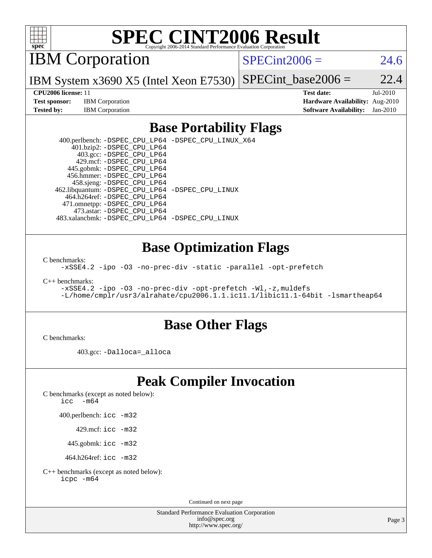

# **[SPEC CINT2006 Result](http://www.spec.org/auto/cpu2006/Docs/result-fields.html#SPECCINT2006Result)**

IBM Corporation

 $SPECint2006 = 24.6$  $SPECint2006 = 24.6$ 

IBM System x3690 X5 (Intel Xeon E7530) SPECint base2006 =  $22.4$ 

**[Test sponsor:](http://www.spec.org/auto/cpu2006/Docs/result-fields.html#Testsponsor)** IBM Corporation **[Hardware Availability:](http://www.spec.org/auto/cpu2006/Docs/result-fields.html#HardwareAvailability)** Aug-2010

**[CPU2006 license:](http://www.spec.org/auto/cpu2006/Docs/result-fields.html#CPU2006license)** 11 **[Test date:](http://www.spec.org/auto/cpu2006/Docs/result-fields.html#Testdate)** Jul-2010 **[Tested by:](http://www.spec.org/auto/cpu2006/Docs/result-fields.html#Testedby)** IBM Corporation **[Software Availability:](http://www.spec.org/auto/cpu2006/Docs/result-fields.html#SoftwareAvailability)** Jan-2010

### **[Base Portability Flags](http://www.spec.org/auto/cpu2006/Docs/result-fields.html#BasePortabilityFlags)**

 400.perlbench: [-DSPEC\\_CPU\\_LP64](http://www.spec.org/cpu2006/results/res2010q3/cpu2006-20100817-12975.flags.html#b400.perlbench_basePORTABILITY_DSPEC_CPU_LP64) [-DSPEC\\_CPU\\_LINUX\\_X64](http://www.spec.org/cpu2006/results/res2010q3/cpu2006-20100817-12975.flags.html#b400.perlbench_baseCPORTABILITY_DSPEC_CPU_LINUX_X64) 401.bzip2: [-DSPEC\\_CPU\\_LP64](http://www.spec.org/cpu2006/results/res2010q3/cpu2006-20100817-12975.flags.html#suite_basePORTABILITY401_bzip2_DSPEC_CPU_LP64) 403.gcc: [-DSPEC\\_CPU\\_LP64](http://www.spec.org/cpu2006/results/res2010q3/cpu2006-20100817-12975.flags.html#suite_basePORTABILITY403_gcc_DSPEC_CPU_LP64) 429.mcf: [-DSPEC\\_CPU\\_LP64](http://www.spec.org/cpu2006/results/res2010q3/cpu2006-20100817-12975.flags.html#suite_basePORTABILITY429_mcf_DSPEC_CPU_LP64) 445.gobmk: [-DSPEC\\_CPU\\_LP64](http://www.spec.org/cpu2006/results/res2010q3/cpu2006-20100817-12975.flags.html#suite_basePORTABILITY445_gobmk_DSPEC_CPU_LP64) 456.hmmer: [-DSPEC\\_CPU\\_LP64](http://www.spec.org/cpu2006/results/res2010q3/cpu2006-20100817-12975.flags.html#suite_basePORTABILITY456_hmmer_DSPEC_CPU_LP64) 458.sjeng: [-DSPEC\\_CPU\\_LP64](http://www.spec.org/cpu2006/results/res2010q3/cpu2006-20100817-12975.flags.html#suite_basePORTABILITY458_sjeng_DSPEC_CPU_LP64) 462.libquantum: [-DSPEC\\_CPU\\_LP64](http://www.spec.org/cpu2006/results/res2010q3/cpu2006-20100817-12975.flags.html#suite_basePORTABILITY462_libquantum_DSPEC_CPU_LP64) [-DSPEC\\_CPU\\_LINUX](http://www.spec.org/cpu2006/results/res2010q3/cpu2006-20100817-12975.flags.html#b462.libquantum_baseCPORTABILITY_DSPEC_CPU_LINUX) 464.h264ref: [-DSPEC\\_CPU\\_LP64](http://www.spec.org/cpu2006/results/res2010q3/cpu2006-20100817-12975.flags.html#suite_basePORTABILITY464_h264ref_DSPEC_CPU_LP64) 471.omnetpp: [-DSPEC\\_CPU\\_LP64](http://www.spec.org/cpu2006/results/res2010q3/cpu2006-20100817-12975.flags.html#suite_basePORTABILITY471_omnetpp_DSPEC_CPU_LP64) 473.astar: [-DSPEC\\_CPU\\_LP64](http://www.spec.org/cpu2006/results/res2010q3/cpu2006-20100817-12975.flags.html#suite_basePORTABILITY473_astar_DSPEC_CPU_LP64) 483.xalancbmk: [-DSPEC\\_CPU\\_LP64](http://www.spec.org/cpu2006/results/res2010q3/cpu2006-20100817-12975.flags.html#suite_basePORTABILITY483_xalancbmk_DSPEC_CPU_LP64) [-DSPEC\\_CPU\\_LINUX](http://www.spec.org/cpu2006/results/res2010q3/cpu2006-20100817-12975.flags.html#b483.xalancbmk_baseCXXPORTABILITY_DSPEC_CPU_LINUX)

### **[Base Optimization Flags](http://www.spec.org/auto/cpu2006/Docs/result-fields.html#BaseOptimizationFlags)**

[C benchmarks](http://www.spec.org/auto/cpu2006/Docs/result-fields.html#Cbenchmarks):

[-xSSE4.2](http://www.spec.org/cpu2006/results/res2010q3/cpu2006-20100817-12975.flags.html#user_CCbase_f-xSSE42_f91528193cf0b216347adb8b939d4107) [-ipo](http://www.spec.org/cpu2006/results/res2010q3/cpu2006-20100817-12975.flags.html#user_CCbase_f-ipo) [-O3](http://www.spec.org/cpu2006/results/res2010q3/cpu2006-20100817-12975.flags.html#user_CCbase_f-O3) [-no-prec-div](http://www.spec.org/cpu2006/results/res2010q3/cpu2006-20100817-12975.flags.html#user_CCbase_f-no-prec-div) [-static](http://www.spec.org/cpu2006/results/res2010q3/cpu2006-20100817-12975.flags.html#user_CCbase_f-static) [-parallel](http://www.spec.org/cpu2006/results/res2010q3/cpu2006-20100817-12975.flags.html#user_CCbase_f-parallel) [-opt-prefetch](http://www.spec.org/cpu2006/results/res2010q3/cpu2006-20100817-12975.flags.html#user_CCbase_f-opt-prefetch)

[C++ benchmarks:](http://www.spec.org/auto/cpu2006/Docs/result-fields.html#CXXbenchmarks)

[-xSSE4.2](http://www.spec.org/cpu2006/results/res2010q3/cpu2006-20100817-12975.flags.html#user_CXXbase_f-xSSE42_f91528193cf0b216347adb8b939d4107) [-ipo](http://www.spec.org/cpu2006/results/res2010q3/cpu2006-20100817-12975.flags.html#user_CXXbase_f-ipo) [-O3](http://www.spec.org/cpu2006/results/res2010q3/cpu2006-20100817-12975.flags.html#user_CXXbase_f-O3) [-no-prec-div](http://www.spec.org/cpu2006/results/res2010q3/cpu2006-20100817-12975.flags.html#user_CXXbase_f-no-prec-div) [-opt-prefetch](http://www.spec.org/cpu2006/results/res2010q3/cpu2006-20100817-12975.flags.html#user_CXXbase_f-opt-prefetch) [-Wl,-z,muldefs](http://www.spec.org/cpu2006/results/res2010q3/cpu2006-20100817-12975.flags.html#user_CXXbase_link_force_multiple1_74079c344b956b9658436fd1b6dd3a8a) [-L/home/cmplr/usr3/alrahate/cpu2006.1.1.ic11.1/libic11.1-64bit -lsmartheap64](http://www.spec.org/cpu2006/results/res2010q3/cpu2006-20100817-12975.flags.html#user_CXXbase_SmartHeap64_e2306cda84805d1ab360117a79ff779c)

### **[Base Other Flags](http://www.spec.org/auto/cpu2006/Docs/result-fields.html#BaseOtherFlags)**

[C benchmarks](http://www.spec.org/auto/cpu2006/Docs/result-fields.html#Cbenchmarks):

403.gcc: [-Dalloca=\\_alloca](http://www.spec.org/cpu2006/results/res2010q3/cpu2006-20100817-12975.flags.html#b403.gcc_baseEXTRA_CFLAGS_Dalloca_be3056838c12de2578596ca5467af7f3)

# **[Peak Compiler Invocation](http://www.spec.org/auto/cpu2006/Docs/result-fields.html#PeakCompilerInvocation)**

[C benchmarks \(except as noted below\)](http://www.spec.org/auto/cpu2006/Docs/result-fields.html#Cbenchmarksexceptasnotedbelow):

icc  $-m64$ 

400.perlbench: [icc -m32](http://www.spec.org/cpu2006/results/res2010q3/cpu2006-20100817-12975.flags.html#user_peakCCLD400_perlbench_intel_icc_32bit_a6a621f8d50482236b970c6ac5f55f93)

429.mcf: [icc -m32](http://www.spec.org/cpu2006/results/res2010q3/cpu2006-20100817-12975.flags.html#user_peakCCLD429_mcf_intel_icc_32bit_a6a621f8d50482236b970c6ac5f55f93)

445.gobmk: [icc -m32](http://www.spec.org/cpu2006/results/res2010q3/cpu2006-20100817-12975.flags.html#user_peakCCLD445_gobmk_intel_icc_32bit_a6a621f8d50482236b970c6ac5f55f93)

464.h264ref: [icc -m32](http://www.spec.org/cpu2006/results/res2010q3/cpu2006-20100817-12975.flags.html#user_peakCCLD464_h264ref_intel_icc_32bit_a6a621f8d50482236b970c6ac5f55f93)

[C++ benchmarks \(except as noted below\):](http://www.spec.org/auto/cpu2006/Docs/result-fields.html#CXXbenchmarksexceptasnotedbelow) [icpc -m64](http://www.spec.org/cpu2006/results/res2010q3/cpu2006-20100817-12975.flags.html#user_CXXpeak_intel_icpc_64bit_fc66a5337ce925472a5c54ad6a0de310)

Continued on next page

Standard Performance Evaluation Corporation [info@spec.org](mailto:info@spec.org) <http://www.spec.org/>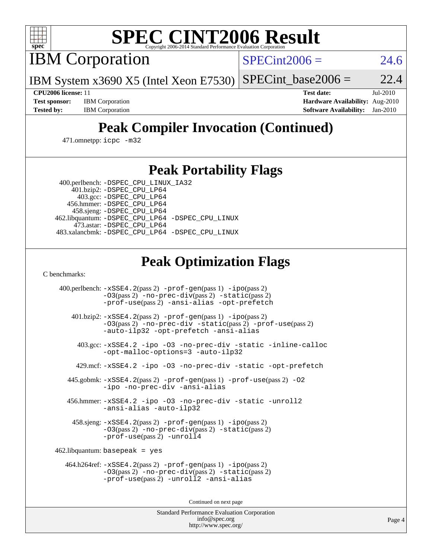

# **[SPEC CINT2006 Result](http://www.spec.org/auto/cpu2006/Docs/result-fields.html#SPECCINT2006Result)**

IBM Corporation

 $SPECint2006 = 24.6$  $SPECint2006 = 24.6$ 

IBM System x3690 X5 (Intel Xeon E7530)  $SPECTnt\_base2006 = 22.4$ 

**[CPU2006 license:](http://www.spec.org/auto/cpu2006/Docs/result-fields.html#CPU2006license)** 11 **[Test date:](http://www.spec.org/auto/cpu2006/Docs/result-fields.html#Testdate)** Jul-2010 **[Test sponsor:](http://www.spec.org/auto/cpu2006/Docs/result-fields.html#Testsponsor)** IBM Corporation **[Hardware Availability:](http://www.spec.org/auto/cpu2006/Docs/result-fields.html#HardwareAvailability)** Aug-2010 **[Tested by:](http://www.spec.org/auto/cpu2006/Docs/result-fields.html#Testedby)** IBM Corporation **[Software Availability:](http://www.spec.org/auto/cpu2006/Docs/result-fields.html#SoftwareAvailability)** Jan-2010

# **[Peak Compiler Invocation \(Continued\)](http://www.spec.org/auto/cpu2006/Docs/result-fields.html#PeakCompilerInvocation)**

471.omnetpp: [icpc -m32](http://www.spec.org/cpu2006/results/res2010q3/cpu2006-20100817-12975.flags.html#user_peakCXXLD471_omnetpp_intel_icpc_32bit_4e5a5ef1a53fd332b3c49e69c3330699)

## **[Peak Portability Flags](http://www.spec.org/auto/cpu2006/Docs/result-fields.html#PeakPortabilityFlags)**

 400.perlbench: [-DSPEC\\_CPU\\_LINUX\\_IA32](http://www.spec.org/cpu2006/results/res2010q3/cpu2006-20100817-12975.flags.html#b400.perlbench_peakCPORTABILITY_DSPEC_CPU_LINUX_IA32) 401.bzip2: [-DSPEC\\_CPU\\_LP64](http://www.spec.org/cpu2006/results/res2010q3/cpu2006-20100817-12975.flags.html#suite_peakPORTABILITY401_bzip2_DSPEC_CPU_LP64)

 403.gcc: [-DSPEC\\_CPU\\_LP64](http://www.spec.org/cpu2006/results/res2010q3/cpu2006-20100817-12975.flags.html#suite_peakPORTABILITY403_gcc_DSPEC_CPU_LP64) 456.hmmer: [-DSPEC\\_CPU\\_LP64](http://www.spec.org/cpu2006/results/res2010q3/cpu2006-20100817-12975.flags.html#suite_peakPORTABILITY456_hmmer_DSPEC_CPU_LP64) 458.sjeng: [-DSPEC\\_CPU\\_LP64](http://www.spec.org/cpu2006/results/res2010q3/cpu2006-20100817-12975.flags.html#suite_peakPORTABILITY458_sjeng_DSPEC_CPU_LP64) 462.libquantum: [-DSPEC\\_CPU\\_LP64](http://www.spec.org/cpu2006/results/res2010q3/cpu2006-20100817-12975.flags.html#suite_peakPORTABILITY462_libquantum_DSPEC_CPU_LP64) [-DSPEC\\_CPU\\_LINUX](http://www.spec.org/cpu2006/results/res2010q3/cpu2006-20100817-12975.flags.html#b462.libquantum_peakCPORTABILITY_DSPEC_CPU_LINUX) 473.astar: [-DSPEC\\_CPU\\_LP64](http://www.spec.org/cpu2006/results/res2010q3/cpu2006-20100817-12975.flags.html#suite_peakPORTABILITY473_astar_DSPEC_CPU_LP64) 483.xalancbmk: [-DSPEC\\_CPU\\_LP64](http://www.spec.org/cpu2006/results/res2010q3/cpu2006-20100817-12975.flags.html#suite_peakPORTABILITY483_xalancbmk_DSPEC_CPU_LP64) [-DSPEC\\_CPU\\_LINUX](http://www.spec.org/cpu2006/results/res2010q3/cpu2006-20100817-12975.flags.html#b483.xalancbmk_peakCXXPORTABILITY_DSPEC_CPU_LINUX)

# **[Peak Optimization Flags](http://www.spec.org/auto/cpu2006/Docs/result-fields.html#PeakOptimizationFlags)**

[C benchmarks](http://www.spec.org/auto/cpu2006/Docs/result-fields.html#Cbenchmarks):

 400.perlbench: [-xSSE4.2](http://www.spec.org/cpu2006/results/res2010q3/cpu2006-20100817-12975.flags.html#user_peakPASS2_CFLAGSPASS2_LDCFLAGS400_perlbench_f-xSSE42_f91528193cf0b216347adb8b939d4107)(pass 2) [-prof-gen](http://www.spec.org/cpu2006/results/res2010q3/cpu2006-20100817-12975.flags.html#user_peakPASS1_CFLAGSPASS1_LDCFLAGS400_perlbench_prof_gen_e43856698f6ca7b7e442dfd80e94a8fc)(pass 1) [-ipo](http://www.spec.org/cpu2006/results/res2010q3/cpu2006-20100817-12975.flags.html#user_peakPASS2_CFLAGSPASS2_LDCFLAGS400_perlbench_f-ipo)(pass 2) [-O3](http://www.spec.org/cpu2006/results/res2010q3/cpu2006-20100817-12975.flags.html#user_peakPASS2_CFLAGSPASS2_LDCFLAGS400_perlbench_f-O3)(pass 2) [-no-prec-div](http://www.spec.org/cpu2006/results/res2010q3/cpu2006-20100817-12975.flags.html#user_peakPASS2_CFLAGSPASS2_LDCFLAGS400_perlbench_f-no-prec-div)(pass 2) [-static](http://www.spec.org/cpu2006/results/res2010q3/cpu2006-20100817-12975.flags.html#user_peakPASS2_CFLAGSPASS2_LDCFLAGS400_perlbench_f-static)(pass 2) [-prof-use](http://www.spec.org/cpu2006/results/res2010q3/cpu2006-20100817-12975.flags.html#user_peakPASS2_CFLAGSPASS2_LDCFLAGS400_perlbench_prof_use_bccf7792157ff70d64e32fe3e1250b55)(pass 2) [-ansi-alias](http://www.spec.org/cpu2006/results/res2010q3/cpu2006-20100817-12975.flags.html#user_peakCOPTIMIZE400_perlbench_f-ansi-alias) [-opt-prefetch](http://www.spec.org/cpu2006/results/res2010q3/cpu2006-20100817-12975.flags.html#user_peakCOPTIMIZE400_perlbench_f-opt-prefetch) 401.bzip2: [-xSSE4.2](http://www.spec.org/cpu2006/results/res2010q3/cpu2006-20100817-12975.flags.html#user_peakPASS2_CFLAGSPASS2_LDCFLAGS401_bzip2_f-xSSE42_f91528193cf0b216347adb8b939d4107)(pass 2) [-prof-gen](http://www.spec.org/cpu2006/results/res2010q3/cpu2006-20100817-12975.flags.html#user_peakPASS1_CFLAGSPASS1_LDCFLAGS401_bzip2_prof_gen_e43856698f6ca7b7e442dfd80e94a8fc)(pass 1) [-ipo](http://www.spec.org/cpu2006/results/res2010q3/cpu2006-20100817-12975.flags.html#user_peakPASS2_CFLAGSPASS2_LDCFLAGS401_bzip2_f-ipo)(pass 2) [-O3](http://www.spec.org/cpu2006/results/res2010q3/cpu2006-20100817-12975.flags.html#user_peakPASS2_CFLAGSPASS2_LDCFLAGS401_bzip2_f-O3)(pass 2) [-no-prec-div](http://www.spec.org/cpu2006/results/res2010q3/cpu2006-20100817-12975.flags.html#user_peakCOPTIMIZEPASS2_CFLAGSPASS2_LDCFLAGS401_bzip2_f-no-prec-div) [-static](http://www.spec.org/cpu2006/results/res2010q3/cpu2006-20100817-12975.flags.html#user_peakPASS2_CFLAGSPASS2_LDCFLAGS401_bzip2_f-static)(pass 2) [-prof-use](http://www.spec.org/cpu2006/results/res2010q3/cpu2006-20100817-12975.flags.html#user_peakPASS2_CFLAGSPASS2_LDCFLAGS401_bzip2_prof_use_bccf7792157ff70d64e32fe3e1250b55)(pass 2) [-auto-ilp32](http://www.spec.org/cpu2006/results/res2010q3/cpu2006-20100817-12975.flags.html#user_peakCOPTIMIZE401_bzip2_f-auto-ilp32) [-opt-prefetch](http://www.spec.org/cpu2006/results/res2010q3/cpu2006-20100817-12975.flags.html#user_peakCOPTIMIZE401_bzip2_f-opt-prefetch) [-ansi-alias](http://www.spec.org/cpu2006/results/res2010q3/cpu2006-20100817-12975.flags.html#user_peakCOPTIMIZE401_bzip2_f-ansi-alias) 403.gcc: [-xSSE4.2](http://www.spec.org/cpu2006/results/res2010q3/cpu2006-20100817-12975.flags.html#user_peakCOPTIMIZE403_gcc_f-xSSE42_f91528193cf0b216347adb8b939d4107) [-ipo](http://www.spec.org/cpu2006/results/res2010q3/cpu2006-20100817-12975.flags.html#user_peakCOPTIMIZE403_gcc_f-ipo) [-O3](http://www.spec.org/cpu2006/results/res2010q3/cpu2006-20100817-12975.flags.html#user_peakCOPTIMIZE403_gcc_f-O3) [-no-prec-div](http://www.spec.org/cpu2006/results/res2010q3/cpu2006-20100817-12975.flags.html#user_peakCOPTIMIZE403_gcc_f-no-prec-div) [-static](http://www.spec.org/cpu2006/results/res2010q3/cpu2006-20100817-12975.flags.html#user_peakCOPTIMIZE403_gcc_f-static) [-inline-calloc](http://www.spec.org/cpu2006/results/res2010q3/cpu2006-20100817-12975.flags.html#user_peakCOPTIMIZE403_gcc_f-inline-calloc) [-opt-malloc-options=3](http://www.spec.org/cpu2006/results/res2010q3/cpu2006-20100817-12975.flags.html#user_peakCOPTIMIZE403_gcc_f-opt-malloc-options_13ab9b803cf986b4ee62f0a5998c2238) [-auto-ilp32](http://www.spec.org/cpu2006/results/res2010q3/cpu2006-20100817-12975.flags.html#user_peakCOPTIMIZE403_gcc_f-auto-ilp32) 429.mcf: [-xSSE4.2](http://www.spec.org/cpu2006/results/res2010q3/cpu2006-20100817-12975.flags.html#user_peakCOPTIMIZE429_mcf_f-xSSE42_f91528193cf0b216347adb8b939d4107) [-ipo](http://www.spec.org/cpu2006/results/res2010q3/cpu2006-20100817-12975.flags.html#user_peakCOPTIMIZE429_mcf_f-ipo) [-O3](http://www.spec.org/cpu2006/results/res2010q3/cpu2006-20100817-12975.flags.html#user_peakCOPTIMIZE429_mcf_f-O3) [-no-prec-div](http://www.spec.org/cpu2006/results/res2010q3/cpu2006-20100817-12975.flags.html#user_peakCOPTIMIZE429_mcf_f-no-prec-div) [-static](http://www.spec.org/cpu2006/results/res2010q3/cpu2006-20100817-12975.flags.html#user_peakCOPTIMIZE429_mcf_f-static) [-opt-prefetch](http://www.spec.org/cpu2006/results/res2010q3/cpu2006-20100817-12975.flags.html#user_peakCOPTIMIZE429_mcf_f-opt-prefetch) 445.gobmk: [-xSSE4.2](http://www.spec.org/cpu2006/results/res2010q3/cpu2006-20100817-12975.flags.html#user_peakPASS2_CFLAGSPASS2_LDCFLAGS445_gobmk_f-xSSE42_f91528193cf0b216347adb8b939d4107)(pass 2) [-prof-gen](http://www.spec.org/cpu2006/results/res2010q3/cpu2006-20100817-12975.flags.html#user_peakPASS1_CFLAGSPASS1_LDCFLAGS445_gobmk_prof_gen_e43856698f6ca7b7e442dfd80e94a8fc)(pass 1) [-prof-use](http://www.spec.org/cpu2006/results/res2010q3/cpu2006-20100817-12975.flags.html#user_peakPASS2_CFLAGSPASS2_LDCFLAGS445_gobmk_prof_use_bccf7792157ff70d64e32fe3e1250b55)(pass 2) [-O2](http://www.spec.org/cpu2006/results/res2010q3/cpu2006-20100817-12975.flags.html#user_peakCOPTIMIZE445_gobmk_f-O2) [-ipo](http://www.spec.org/cpu2006/results/res2010q3/cpu2006-20100817-12975.flags.html#user_peakCOPTIMIZE445_gobmk_f-ipo) [-no-prec-div](http://www.spec.org/cpu2006/results/res2010q3/cpu2006-20100817-12975.flags.html#user_peakCOPTIMIZE445_gobmk_f-no-prec-div) [-ansi-alias](http://www.spec.org/cpu2006/results/res2010q3/cpu2006-20100817-12975.flags.html#user_peakCOPTIMIZE445_gobmk_f-ansi-alias) 456.hmmer: [-xSSE4.2](http://www.spec.org/cpu2006/results/res2010q3/cpu2006-20100817-12975.flags.html#user_peakCOPTIMIZE456_hmmer_f-xSSE42_f91528193cf0b216347adb8b939d4107) [-ipo](http://www.spec.org/cpu2006/results/res2010q3/cpu2006-20100817-12975.flags.html#user_peakCOPTIMIZE456_hmmer_f-ipo) [-O3](http://www.spec.org/cpu2006/results/res2010q3/cpu2006-20100817-12975.flags.html#user_peakCOPTIMIZE456_hmmer_f-O3) [-no-prec-div](http://www.spec.org/cpu2006/results/res2010q3/cpu2006-20100817-12975.flags.html#user_peakCOPTIMIZE456_hmmer_f-no-prec-div) [-static](http://www.spec.org/cpu2006/results/res2010q3/cpu2006-20100817-12975.flags.html#user_peakCOPTIMIZE456_hmmer_f-static) [-unroll2](http://www.spec.org/cpu2006/results/res2010q3/cpu2006-20100817-12975.flags.html#user_peakCOPTIMIZE456_hmmer_f-unroll_784dae83bebfb236979b41d2422d7ec2) [-ansi-alias](http://www.spec.org/cpu2006/results/res2010q3/cpu2006-20100817-12975.flags.html#user_peakCOPTIMIZE456_hmmer_f-ansi-alias) [-auto-ilp32](http://www.spec.org/cpu2006/results/res2010q3/cpu2006-20100817-12975.flags.html#user_peakCOPTIMIZE456_hmmer_f-auto-ilp32) 458.sjeng: [-xSSE4.2](http://www.spec.org/cpu2006/results/res2010q3/cpu2006-20100817-12975.flags.html#user_peakPASS2_CFLAGSPASS2_LDCFLAGS458_sjeng_f-xSSE42_f91528193cf0b216347adb8b939d4107)(pass 2) [-prof-gen](http://www.spec.org/cpu2006/results/res2010q3/cpu2006-20100817-12975.flags.html#user_peakPASS1_CFLAGSPASS1_LDCFLAGS458_sjeng_prof_gen_e43856698f6ca7b7e442dfd80e94a8fc)(pass 1) [-ipo](http://www.spec.org/cpu2006/results/res2010q3/cpu2006-20100817-12975.flags.html#user_peakPASS2_CFLAGSPASS2_LDCFLAGS458_sjeng_f-ipo)(pass 2) [-O3](http://www.spec.org/cpu2006/results/res2010q3/cpu2006-20100817-12975.flags.html#user_peakPASS2_CFLAGSPASS2_LDCFLAGS458_sjeng_f-O3)(pass 2) [-no-prec-div](http://www.spec.org/cpu2006/results/res2010q3/cpu2006-20100817-12975.flags.html#user_peakPASS2_CFLAGSPASS2_LDCFLAGS458_sjeng_f-no-prec-div)(pass 2) [-static](http://www.spec.org/cpu2006/results/res2010q3/cpu2006-20100817-12975.flags.html#user_peakPASS2_CFLAGSPASS2_LDCFLAGS458_sjeng_f-static)(pass 2) [-prof-use](http://www.spec.org/cpu2006/results/res2010q3/cpu2006-20100817-12975.flags.html#user_peakPASS2_CFLAGSPASS2_LDCFLAGS458_sjeng_prof_use_bccf7792157ff70d64e32fe3e1250b55)(pass 2) [-unroll4](http://www.spec.org/cpu2006/results/res2010q3/cpu2006-20100817-12975.flags.html#user_peakCOPTIMIZE458_sjeng_f-unroll_4e5e4ed65b7fd20bdcd365bec371b81f) 462.libquantum: basepeak = yes 464.h264ref: [-xSSE4.2](http://www.spec.org/cpu2006/results/res2010q3/cpu2006-20100817-12975.flags.html#user_peakPASS2_CFLAGSPASS2_LDCFLAGS464_h264ref_f-xSSE42_f91528193cf0b216347adb8b939d4107)(pass 2) [-prof-gen](http://www.spec.org/cpu2006/results/res2010q3/cpu2006-20100817-12975.flags.html#user_peakPASS1_CFLAGSPASS1_LDCFLAGS464_h264ref_prof_gen_e43856698f6ca7b7e442dfd80e94a8fc)(pass 1) [-ipo](http://www.spec.org/cpu2006/results/res2010q3/cpu2006-20100817-12975.flags.html#user_peakPASS2_CFLAGSPASS2_LDCFLAGS464_h264ref_f-ipo)(pass 2) [-O3](http://www.spec.org/cpu2006/results/res2010q3/cpu2006-20100817-12975.flags.html#user_peakPASS2_CFLAGSPASS2_LDCFLAGS464_h264ref_f-O3)(pass 2) [-no-prec-div](http://www.spec.org/cpu2006/results/res2010q3/cpu2006-20100817-12975.flags.html#user_peakPASS2_CFLAGSPASS2_LDCFLAGS464_h264ref_f-no-prec-div)(pass 2) [-static](http://www.spec.org/cpu2006/results/res2010q3/cpu2006-20100817-12975.flags.html#user_peakPASS2_CFLAGSPASS2_LDCFLAGS464_h264ref_f-static)(pass 2) [-prof-use](http://www.spec.org/cpu2006/results/res2010q3/cpu2006-20100817-12975.flags.html#user_peakPASS2_CFLAGSPASS2_LDCFLAGS464_h264ref_prof_use_bccf7792157ff70d64e32fe3e1250b55)(pass 2) [-unroll2](http://www.spec.org/cpu2006/results/res2010q3/cpu2006-20100817-12975.flags.html#user_peakCOPTIMIZE464_h264ref_f-unroll_784dae83bebfb236979b41d2422d7ec2) [-ansi-alias](http://www.spec.org/cpu2006/results/res2010q3/cpu2006-20100817-12975.flags.html#user_peakCOPTIMIZE464_h264ref_f-ansi-alias)

Continued on next page

Standard Performance Evaluation Corporation [info@spec.org](mailto:info@spec.org) <http://www.spec.org/>